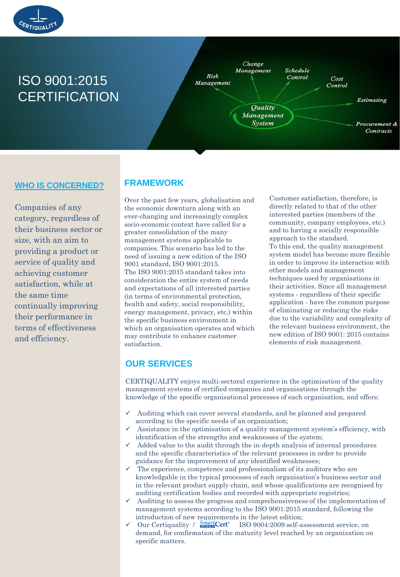

# ISO 9001:2015 **CERTIFICATION**



## **WHO IS CONCERNED?**

Companies of any category, regardless of their business sector or size, with an aim to providing a product or service of quality and achieving customer satisfaction, while at the same time continually improving their performance in terms of effectiveness and efficiency.

## **FRAMEWORK**

Over the past few years, globalisation and the economic downturn along with an ever-changing and increasingly complex socio-economic context have called for a greater consolidation of the many management systems applicable to companies. This scenario has led to the need of issuing a new edition of the ISO 9001 standard, ISO 9001:2015. The ISO 9001:2015 standard takes into consideration the entire system of needs and expectations of all interested parties (in terms of environmental protection, health and safety, social responsibility, energy management, privacy, etc.) within the specific business environment in which an organisation operates and which may contribute to enhance customer satisfaction.

Customer satisfaction, therefore, is directly related to that of the other interested parties (members of the community, company employees, etc.) and to having a socially responsible approach to the standard. To this end, the quality management system model has become more flexible in order to improve its interaction with other models and management techniques used by organisations in their activities. Since all management systems - regardless of their specific application - have the common purpose of eliminating or reducing the risks due to the variability and complexity of the relevant business environment, the new edition of ISO 9001: 2015 contains elements of risk management.

## **OUR SERVICES**

CERTIQUALITY enjoys multi-sectoral experience in the optimisation of the quality management systems of certified companies and organisations through the knowledge of the specific organisational processes of each organisation, and offers:

- $\checkmark$  Auditing which can cover several standards, and be planned and prepared according to the specific needs of an organization;
- Assistance in the optimisation of a quality management system's efficiency, with identification of the strengths and weaknesses of the system;
- Added value to the audit through the in-depth analysis of internal procedures and the specific characteristics of the relevant processes in order to provide guidance for the improvement of any identified weaknesses;
- $\checkmark$  The experience, competence and professionalism of its auditors who are knowledgable in the typical processes of each organisation's business sector and in the relevant product supply chain, and whose qualifications are recognised by auditing certification bodies and recorded with appropriate registries;
- Auditing to assess the progress and comprehensiveness of the implementation of management systems according to the ISO 9001:2015 standard, following the introduction of new requirements in the latest edition;<br> $\checkmark$  Our Certiquality /  $\frac{Smar}{}$ Cert<sup>\*</sup> ISO 9004:2009 self-as
- ISO 9004:2009 self-assessment service, on demand, for confirmation of the maturity level reached by an organization on specific matters.